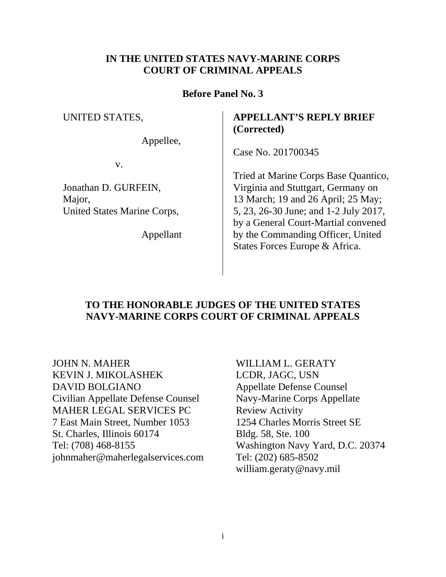## **IN THE UNITED STATES NAVY-MARINE CORPS COURT OF CRIMINAL APPEALS**

## **Before Panel No. 3**

#### UNITED STATES,

Appellee,

Case No. 201700345

**(Corrected)**

v.

Jonathan D. GURFEIN, Major, United States Marine Corps,

Appellant

## Tried at Marine Corps Base Quantico, Virginia and Stuttgart, Germany on 13 March; 19 and 26 April; 25 May; 5, 23, 26-30 June; and 1-2 July 2017, by a General Court-Martial convened by the Commanding Officer, United States Forces Europe & Africa.

**APPELLANT'S REPLY BRIEF**

# **TO THE HONORABLE JUDGES OF THE UNITED STATES NAVY-MARINE CORPS COURT OF CRIMINAL APPEALS**

JOHN N. MAHER WILLIAM L. GERATY KEVIN J. MIKOLASHEK LCDR, JAGC, USN DAVID BOLGIANO Appellate Defense Counsel Civilian Appellate Defense Counsel Navy-Marine Corps Appellate MAHER LEGAL SERVICES PC Review Activity 7 East Main Street, Number 1053 1254 Charles Morris Street SE St. Charles, Illinois 60174 Bldg. 58, Ste. 100 Tel: (708) 468-8155 Washington Navy Yard, D.C. 20374 [johnmaher@maherlegalservices.com](mailto:johnmaher@maherlegalservices.com) Tel: (202) 685-8502

william.geraty@navy.mil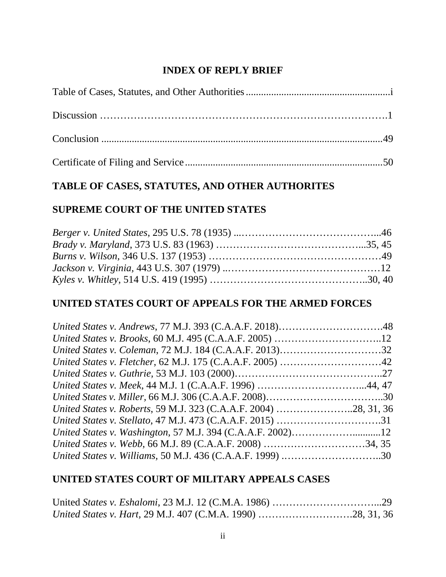# **INDEX OF REPLY BRIEF**

# **TABLE OF CASES, STATUTES, AND OTHER AUTHORITES**

## **SUPREME COURT OF THE UNITED STATES**

## **UNITED STATES COURT OF APPEALS FOR THE ARMED FORCES**

# **UNITED STATES COURT OF MILITARY APPEALS CASES**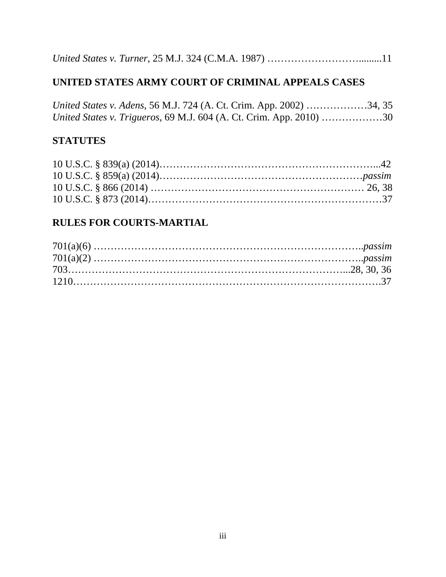*United States v. Turner*, 25 M.J. 324 (C.M.A. 1987) ……………………….........11

# **UNITED STATES ARMY COURT OF CRIMINAL APPEALS CASES**

*United States v. Adens*, 56 M.J. 724 (A. Ct. Crim. App. 2002) ………………34, 35 *United States v. Trigueros*, 69 M.J. 604 (A. Ct. Crim. App. 2010) ………………30

# **STATUTES**

# **RULES FOR COURTS-MARTIAL**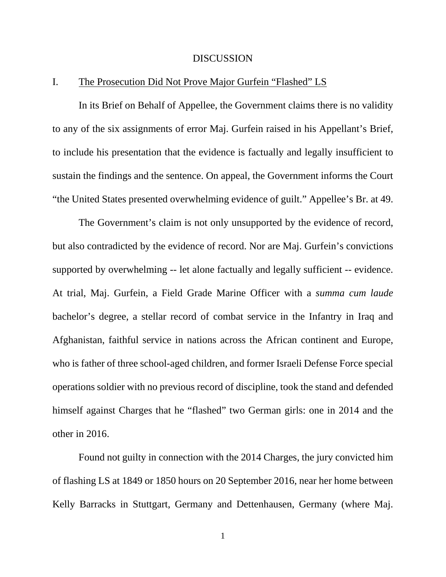#### **DISCUSSION**

## I. The Prosecution Did Not Prove Major Gurfein "Flashed" LS

In its Brief on Behalf of Appellee, the Government claims there is no validity to any of the six assignments of error Maj. Gurfein raised in his Appellant's Brief, to include his presentation that the evidence is factually and legally insufficient to sustain the findings and the sentence. On appeal, the Government informs the Court "the United States presented overwhelming evidence of guilt." Appellee's Br. at 49.

The Government's claim is not only unsupported by the evidence of record, but also contradicted by the evidence of record. Nor are Maj. Gurfein's convictions supported by overwhelming -- let alone factually and legally sufficient -- evidence. At trial, Maj. Gurfein, a Field Grade Marine Officer with a *summa cum laude* bachelor's degree, a stellar record of combat service in the Infantry in Iraq and Afghanistan, faithful service in nations across the African continent and Europe, who is father of three school-aged children, and former Israeli Defense Force special operations soldier with no previous record of discipline, took the stand and defended himself against Charges that he "flashed" two German girls: one in 2014 and the other in 2016.

Found not guilty in connection with the 2014 Charges, the jury convicted him of flashing LS at 1849 or 1850 hours on 20 September 2016, near her home between Kelly Barracks in Stuttgart, Germany and Dettenhausen, Germany (where Maj.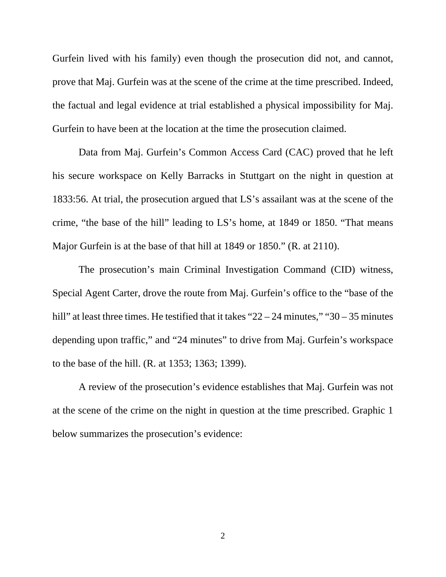Gurfein lived with his family) even though the prosecution did not, and cannot, prove that Maj. Gurfein was at the scene of the crime at the time prescribed. Indeed, the factual and legal evidence at trial established a physical impossibility for Maj. Gurfein to have been at the location at the time the prosecution claimed.

Data from Maj. Gurfein's Common Access Card (CAC) proved that he left his secure workspace on Kelly Barracks in Stuttgart on the night in question at 1833:56. At trial, the prosecution argued that LS's assailant was at the scene of the crime, "the base of the hill" leading to LS's home, at 1849 or 1850. "That means Major Gurfein is at the base of that hill at 1849 or 1850." (R. at 2110).

The prosecution's main Criminal Investigation Command (CID) witness, Special Agent Carter, drove the route from Maj. Gurfein's office to the "base of the hill" at least three times. He testified that it takes "22 – 24 minutes," "30 – 35 minutes depending upon traffic," and "24 minutes" to drive from Maj. Gurfein's workspace to the base of the hill. (R. at 1353; 1363; 1399).

A review of the prosecution's evidence establishes that Maj. Gurfein was not at the scene of the crime on the night in question at the time prescribed. Graphic 1 below summarizes the prosecution's evidence: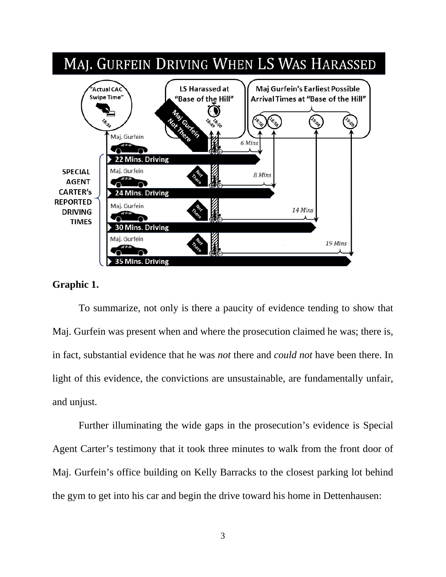

## **Graphic 1.**

To summarize, not only is there a paucity of evidence tending to show that Maj. Gurfein was present when and where the prosecution claimed he was; there is, in fact, substantial evidence that he was *not* there and *could not* have been there. In light of this evidence, the convictions are unsustainable, are fundamentally unfair, and unjust.

Further illuminating the wide gaps in the prosecution's evidence is Special Agent Carter's testimony that it took three minutes to walk from the front door of Maj. Gurfein's office building on Kelly Barracks to the closest parking lot behind the gym to get into his car and begin the drive toward his home in Dettenhausen: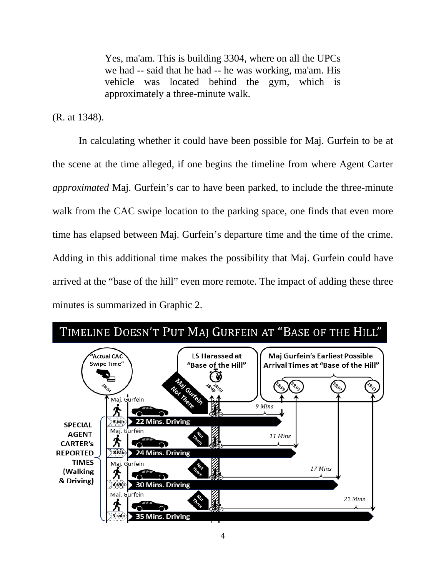Yes, ma'am. This is building 3304, where on all the UPCs we had -- said that he had -- he was working, ma'am. His vehicle was located behind the gym, which is approximately a three-minute walk.

(R. at 1348).

In calculating whether it could have been possible for Maj. Gurfein to be at the scene at the time alleged, if one begins the timeline from where Agent Carter *approximated* Maj. Gurfein's car to have been parked, to include the three-minute walk from the CAC swipe location to the parking space, one finds that even more time has elapsed between Maj. Gurfein's departure time and the time of the crime. Adding in this additional time makes the possibility that Maj. Gurfein could have arrived at the "base of the hill" even more remote. The impact of adding these three minutes is summarized in Graphic 2.

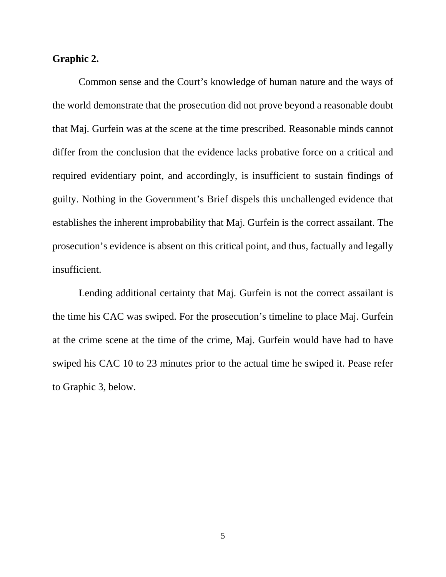#### **Graphic 2.**

Common sense and the Court's knowledge of human nature and the ways of the world demonstrate that the prosecution did not prove beyond a reasonable doubt that Maj. Gurfein was at the scene at the time prescribed. Reasonable minds cannot differ from the conclusion that the evidence lacks probative force on a critical and required evidentiary point, and accordingly, is insufficient to sustain findings of guilty. Nothing in the Government's Brief dispels this unchallenged evidence that establishes the inherent improbability that Maj. Gurfein is the correct assailant. The prosecution's evidence is absent on this critical point, and thus, factually and legally insufficient.

Lending additional certainty that Maj. Gurfein is not the correct assailant is the time his CAC was swiped. For the prosecution's timeline to place Maj. Gurfein at the crime scene at the time of the crime, Maj. Gurfein would have had to have swiped his CAC 10 to 23 minutes prior to the actual time he swiped it. Pease refer to Graphic 3, below.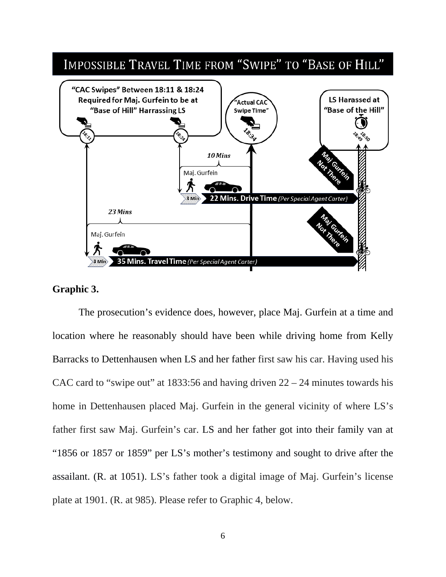

## **Graphic 3.**

The prosecution's evidence does, however, place Maj. Gurfein at a time and location where he reasonably should have been while driving home from Kelly Barracks to Dettenhausen when LS and her father first saw his car. Having used his CAC card to "swipe out" at 1833:56 and having driven  $22 - 24$  minutes towards his home in Dettenhausen placed Maj. Gurfein in the general vicinity of where LS's father first saw Maj. Gurfein's car. LS and her father got into their family van at "1856 or 1857 or 1859" per LS's mother's testimony and sought to drive after the assailant. (R. at 1051). LS's father took a digital image of Maj. Gurfein's license plate at 1901. (R. at 985). Please refer to Graphic 4, below.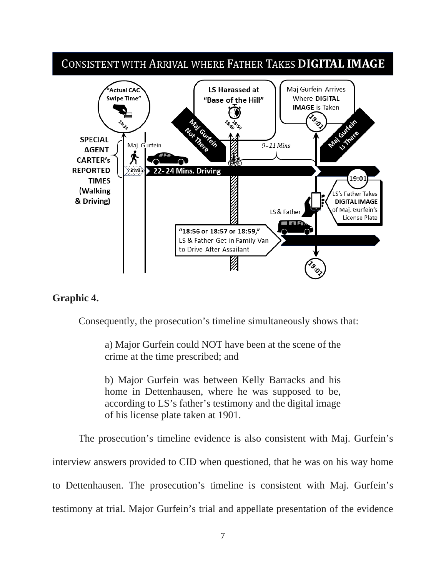# CONSISTENT WITH ARRIVAL WHERE FATHER TAKES DIGITAL IMAGE



## **Graphic 4.**

Consequently, the prosecution's timeline simultaneously shows that:

a) Major Gurfein could NOT have been at the scene of the crime at the time prescribed; and

b) Major Gurfein was between Kelly Barracks and his home in Dettenhausen, where he was supposed to be, according to LS's father's testimony and the digital image of his license plate taken at 1901.

The prosecution's timeline evidence is also consistent with Maj. Gurfein's interview answers provided to CID when questioned, that he was on his way home to Dettenhausen. The prosecution's timeline is consistent with Maj. Gurfein's testimony at trial. Major Gurfein's trial and appellate presentation of the evidence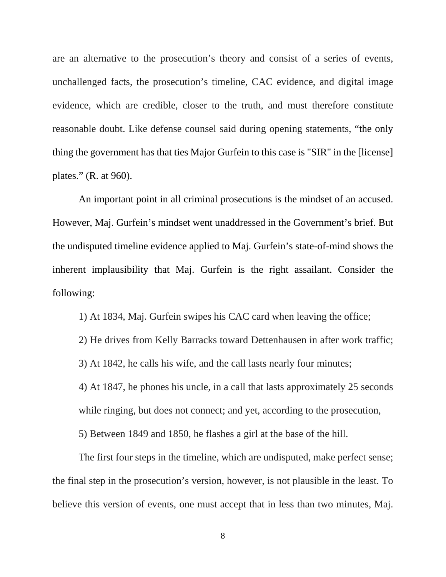are an alternative to the prosecution's theory and consist of a series of events, unchallenged facts, the prosecution's timeline, CAC evidence, and digital image evidence, which are credible, closer to the truth, and must therefore constitute reasonable doubt. Like defense counsel said during opening statements, "the only thing the government has that ties Major Gurfein to this case is "SIR" in the [license] plates." (R. at 960).

An important point in all criminal prosecutions is the mindset of an accused. However, Maj. Gurfein's mindset went unaddressed in the Government's brief. But the undisputed timeline evidence applied to Maj. Gurfein's state-of-mind shows the inherent implausibility that Maj. Gurfein is the right assailant. Consider the following:

1) At 1834, Maj. Gurfein swipes his CAC card when leaving the office;

2) He drives from Kelly Barracks toward Dettenhausen in after work traffic;

3) At 1842, he calls his wife, and the call lasts nearly four minutes;

4) At 1847, he phones his uncle, in a call that lasts approximately 25 seconds while ringing, but does not connect; and yet, according to the prosecution,

5) Between 1849 and 1850, he flashes a girl at the base of the hill.

The first four steps in the timeline, which are undisputed, make perfect sense; the final step in the prosecution's version, however, is not plausible in the least. To believe this version of events, one must accept that in less than two minutes, Maj.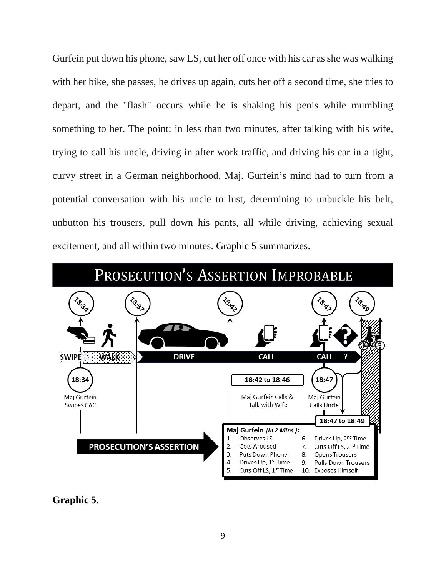Gurfein put down his phone, saw LS, cut her off once with his car as she was walking with her bike, she passes, he drives up again, cuts her off a second time, she tries to depart, and the "flash" occurs while he is shaking his penis while mumbling something to her. The point: in less than two minutes, after talking with his wife, trying to call his uncle, driving in after work traffic, and driving his car in a tight, curvy street in a German neighborhood, Maj. Gurfein's mind had to turn from a potential conversation with his uncle to lust, determining to unbuckle his belt, unbutton his trousers, pull down his pants, all while driving, achieving sexual excitement, and all within two minutes. Graphic 5 summarizes.



**Graphic 5.**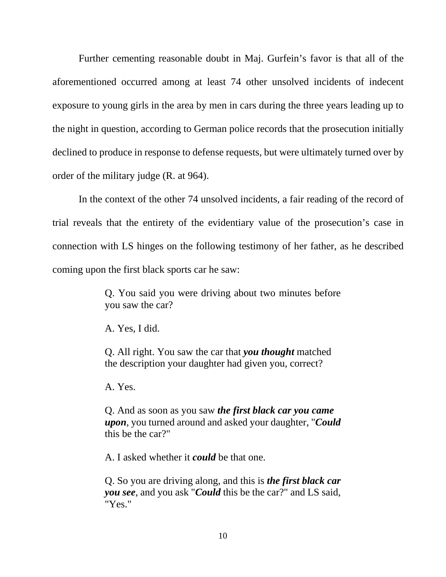Further cementing reasonable doubt in Maj. Gurfein's favor is that all of the aforementioned occurred among at least 74 other unsolved incidents of indecent exposure to young girls in the area by men in cars during the three years leading up to the night in question, according to German police records that the prosecution initially declined to produce in response to defense requests, but were ultimately turned over by order of the military judge (R. at 964).

In the context of the other 74 unsolved incidents, a fair reading of the record of trial reveals that the entirety of the evidentiary value of the prosecution's case in connection with LS hinges on the following testimony of her father, as he described coming upon the first black sports car he saw:

> Q. You said you were driving about two minutes before you saw the car?

A. Yes, I did.

Q. All right. You saw the car that *you thought* matched the description your daughter had given you, correct?

A. Yes.

Q. And as soon as you saw *the first black car you came upon*, you turned around and asked your daughter, "*Could*  this be the car?"

A. I asked whether it *could* be that one.

Q. So you are driving along, and this is *the first black car you see*, and you ask "*Could* this be the car?" and LS said, "Yes."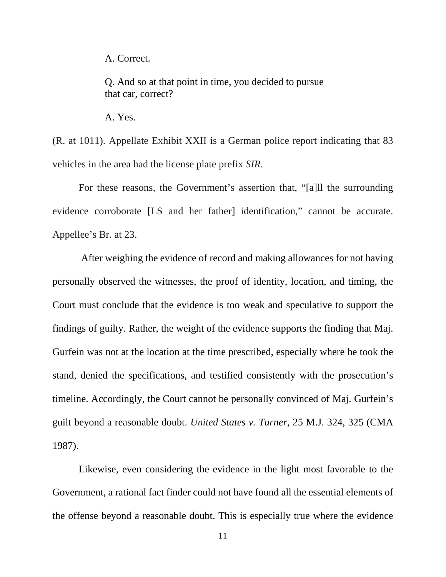A. Correct.

Q. And so at that point in time, you decided to pursue that car, correct?

A. Yes.

(R. at 1011). Appellate Exhibit XXII is a German police report indicating that 83 vehicles in the area had the license plate prefix *SIR*.

For these reasons, the Government's assertion that, "[a]ll the surrounding evidence corroborate [LS and her father] identification," cannot be accurate. Appellee's Br. at 23.

After weighing the evidence of record and making allowances for not having personally observed the witnesses, the proof of identity, location, and timing, the Court must conclude that the evidence is too weak and speculative to support the findings of guilty. Rather, the weight of the evidence supports the finding that Maj. Gurfein was not at the location at the time prescribed, especially where he took the stand, denied the specifications, and testified consistently with the prosecution's timeline. Accordingly, the Court cannot be personally convinced of Maj. Gurfein's guilt beyond a reasonable doubt. *United States v. Turner*, 25 M.J. 324, 325 (CMA 1987).

Likewise, even considering the evidence in the light most favorable to the Government, a rational fact finder could not have found all the essential elements of the offense beyond a reasonable doubt. This is especially true where the evidence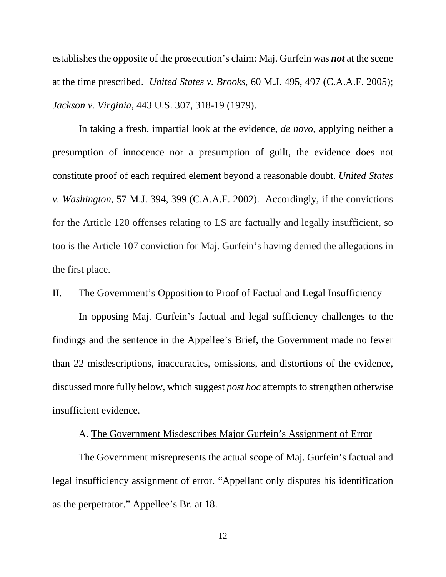establishes the opposite of the prosecution's claim: Maj. Gurfein was *not* at the scene at the time prescribed. *United States v. Brooks*, 60 M.J. 495, 497 (C.A.A.F. 2005); *Jackson v. Virginia*, 443 U.S. 307, 318-19 (1979).

In taking a fresh, impartial look at the evidence, *de novo*, applying neither a presumption of innocence nor a presumption of guilt, the evidence does not constitute proof of each required element beyond a reasonable doubt. *United States v. Washington*, 57 M.J. 394, 399 (C.A.A.F. 2002). Accordingly, if the convictions for the Article 120 offenses relating to LS are factually and legally insufficient, so too is the Article 107 conviction for Maj. Gurfein's having denied the allegations in the first place.

## II. The Government's Opposition to Proof of Factual and Legal Insufficiency

In opposing Maj. Gurfein's factual and legal sufficiency challenges to the findings and the sentence in the Appellee's Brief, the Government made no fewer than 22 misdescriptions, inaccuracies, omissions, and distortions of the evidence, discussed more fully below, which suggest *post hoc* attempts to strengthen otherwise insufficient evidence.

## A. The Government Misdescribes Major Gurfein's Assignment of Error

The Government misrepresents the actual scope of Maj. Gurfein's factual and legal insufficiency assignment of error. "Appellant only disputes his identification as the perpetrator." Appellee's Br. at 18.

12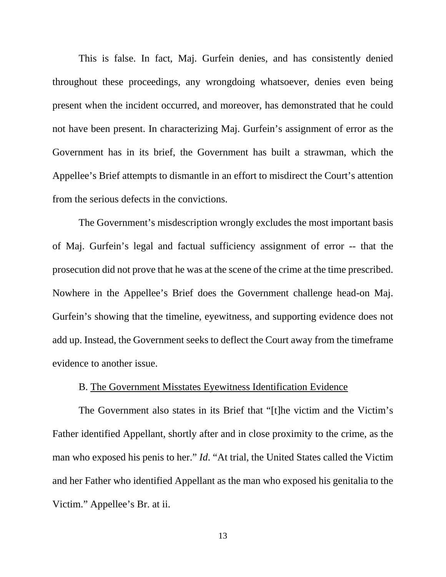This is false. In fact, Maj. Gurfein denies, and has consistently denied throughout these proceedings, any wrongdoing whatsoever, denies even being present when the incident occurred, and moreover, has demonstrated that he could not have been present. In characterizing Maj. Gurfein's assignment of error as the Government has in its brief, the Government has built a strawman, which the Appellee's Brief attempts to dismantle in an effort to misdirect the Court's attention from the serious defects in the convictions.

The Government's misdescription wrongly excludes the most important basis of Maj. Gurfein's legal and factual sufficiency assignment of error -- that the prosecution did not prove that he was at the scene of the crime at the time prescribed. Nowhere in the Appellee's Brief does the Government challenge head-on Maj. Gurfein's showing that the timeline, eyewitness, and supporting evidence does not add up. Instead, the Government seeks to deflect the Court away from the timeframe evidence to another issue.

#### B. The Government Misstates Eyewitness Identification Evidence

The Government also states in its Brief that "[t]he victim and the Victim's Father identified Appellant, shortly after and in close proximity to the crime, as the man who exposed his penis to her." *Id*. "At trial, the United States called the Victim and her Father who identified Appellant as the man who exposed his genitalia to the Victim." Appellee's Br. at ii.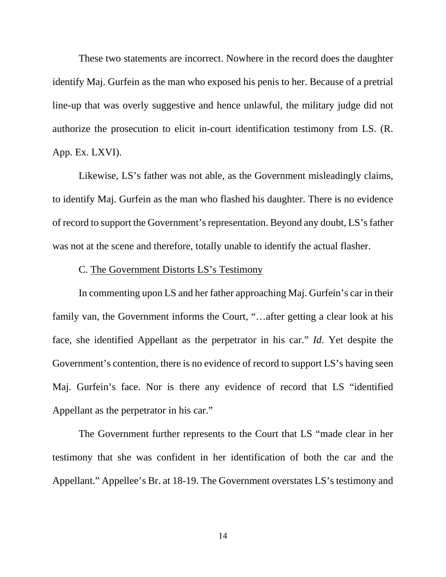These two statements are incorrect. Nowhere in the record does the daughter identify Maj. Gurfein as the man who exposed his penis to her. Because of a pretrial line-up that was overly suggestive and hence unlawful, the military judge did not authorize the prosecution to elicit in-court identification testimony from LS. (R. App. Ex. LXVI).

Likewise, LS's father was not able, as the Government misleadingly claims, to identify Maj. Gurfein as the man who flashed his daughter. There is no evidence of record to support the Government's representation. Beyond any doubt, LS's father was not at the scene and therefore, totally unable to identify the actual flasher.

## C. The Government Distorts LS's Testimony

In commenting upon LS and her father approaching Maj. Gurfein's car in their family van, the Government informs the Court, "...after getting a clear look at his face, she identified Appellant as the perpetrator in his car." *Id*. Yet despite the Government's contention, there is no evidence of record to support LS's having seen Maj. Gurfein's face. Nor is there any evidence of record that LS "identified Appellant as the perpetrator in his car."

The Government further represents to the Court that LS "made clear in her testimony that she was confident in her identification of both the car and the Appellant." Appellee's Br. at 18-19. The Government overstates LS's testimony and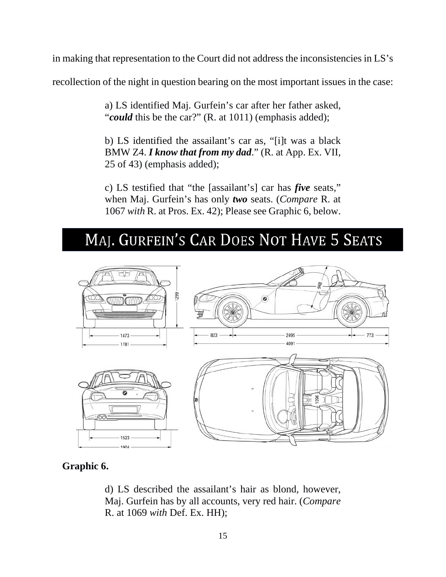in making that representation to the Court did not address the inconsistencies in LS's

recollection of the night in question bearing on the most important issues in the case:

a) LS identified Maj. Gurfein's car after her father asked, "*could* this be the car?" (R. at 1011) (emphasis added);

b) LS identified the assailant's car as, "[i]t was a black BMW Z4. *I know that from my dad*." (R. at App. Ex. VII, 25 of 43) (emphasis added);

c) LS testified that "the [assailant's] car has *five* seats," when Maj. Gurfein's has only *two* seats. (*Compare* R. at 1067 *with* R. at Pros. Ex. 42); Please see Graphic 6, below.

# MAJ. GURFEIN'S CAR DOES NOT HAVE 5 SEATS



# **Graphic 6.**

d) LS described the assailant's hair as blond, however, Maj. Gurfein has by all accounts, very red hair. (*Compare* R. at 1069 *with* Def. Ex. HH);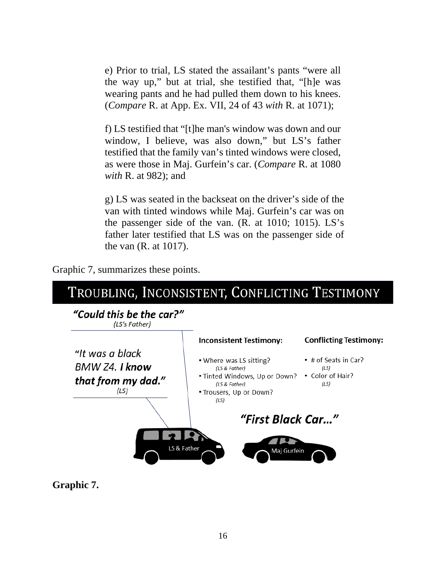e) Prior to trial, LS stated the assailant's pants "were all the way up," but at trial, she testified that, "[h]e was wearing pants and he had pulled them down to his knees. (*Compare* R. at App. Ex. VII, 24 of 43 *with* R. at 1071);

f) LS testified that "[t]he man's window was down and our window, I believe, was also down," but LS's father testified that the family van's tinted windows were closed, as were those in Maj. Gurfein's car. (*Compare* R. at 1080 *with* R. at 982); and

g) LS was seated in the backseat on the driver's side of the van with tinted windows while Maj. Gurfein's car was on the passenger side of the van. (R. at 1010; 1015). LS's father later testified that LS was on the passenger side of the van (R. at 1017).





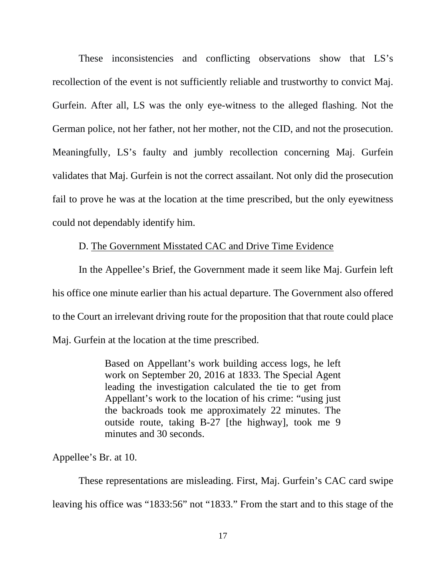These inconsistencies and conflicting observations show that LS's recollection of the event is not sufficiently reliable and trustworthy to convict Maj. Gurfein. After all, LS was the only eye-witness to the alleged flashing. Not the German police, not her father, not her mother, not the CID, and not the prosecution. Meaningfully, LS's faulty and jumbly recollection concerning Maj. Gurfein validates that Maj. Gurfein is not the correct assailant. Not only did the prosecution fail to prove he was at the location at the time prescribed, but the only eyewitness could not dependably identify him.

D. The Government Misstated CAC and Drive Time Evidence

In the Appellee's Brief, the Government made it seem like Maj. Gurfein left his office one minute earlier than his actual departure. The Government also offered to the Court an irrelevant driving route for the proposition that that route could place Maj. Gurfein at the location at the time prescribed.

> Based on Appellant's work building access logs, he left work on September 20, 2016 at 1833. The Special Agent leading the investigation calculated the tie to get from Appellant's work to the location of his crime: "using just the backroads took me approximately 22 minutes. The outside route, taking B-27 [the highway], took me 9 minutes and 30 seconds.

Appellee's Br. at 10.

These representations are misleading. First, Maj. Gurfein's CAC card swipe leaving his office was "1833:56" not "1833." From the start and to this stage of the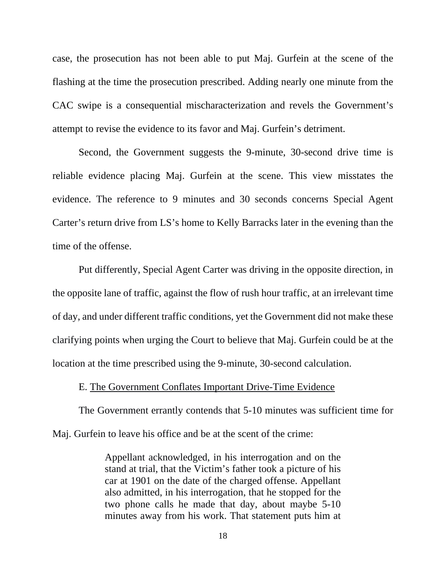case, the prosecution has not been able to put Maj. Gurfein at the scene of the flashing at the time the prosecution prescribed. Adding nearly one minute from the CAC swipe is a consequential mischaracterization and revels the Government's attempt to revise the evidence to its favor and Maj. Gurfein's detriment.

Second, the Government suggests the 9-minute, 30-second drive time is reliable evidence placing Maj. Gurfein at the scene. This view misstates the evidence. The reference to 9 minutes and 30 seconds concerns Special Agent Carter's return drive from LS's home to Kelly Barracks later in the evening than the time of the offense.

Put differently, Special Agent Carter was driving in the opposite direction, in the opposite lane of traffic, against the flow of rush hour traffic, at an irrelevant time of day, and under different traffic conditions, yet the Government did not make these clarifying points when urging the Court to believe that Maj. Gurfein could be at the location at the time prescribed using the 9-minute, 30-second calculation.

#### E. The Government Conflates Important Drive-Time Evidence

The Government errantly contends that 5-10 minutes was sufficient time for Maj. Gurfein to leave his office and be at the scent of the crime:

> Appellant acknowledged, in his interrogation and on the stand at trial, that the Victim's father took a picture of his car at 1901 on the date of the charged offense. Appellant also admitted, in his interrogation, that he stopped for the two phone calls he made that day, about maybe 5-10 minutes away from his work. That statement puts him at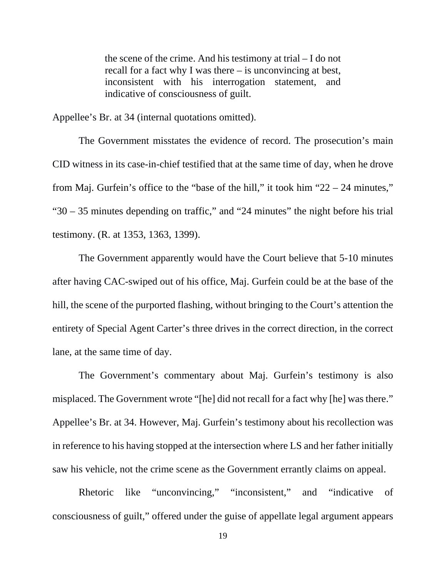the scene of the crime. And his testimony at trial – I do not recall for a fact why I was there – is unconvincing at best, inconsistent with his interrogation statement, and indicative of consciousness of guilt.

Appellee's Br. at 34 (internal quotations omitted).

The Government misstates the evidence of record. The prosecution's main CID witness in its case-in-chief testified that at the same time of day, when he drove from Maj. Gurfein's office to the "base of the hill," it took him "22 – 24 minutes," "30 – 35 minutes depending on traffic," and "24 minutes" the night before his trial testimony. (R. at 1353, 1363, 1399).

The Government apparently would have the Court believe that 5-10 minutes after having CAC-swiped out of his office, Maj. Gurfein could be at the base of the hill, the scene of the purported flashing, without bringing to the Court's attention the entirety of Special Agent Carter's three drives in the correct direction, in the correct lane, at the same time of day.

The Government's commentary about Maj. Gurfein's testimony is also misplaced. The Government wrote "[he] did not recall for a fact why [he] was there." Appellee's Br. at 34. However, Maj. Gurfein's testimony about his recollection was in reference to his having stopped at the intersection where LS and her father initially saw his vehicle, not the crime scene as the Government errantly claims on appeal.

Rhetoric like "unconvincing," "inconsistent," and "indicative of consciousness of guilt," offered under the guise of appellate legal argument appears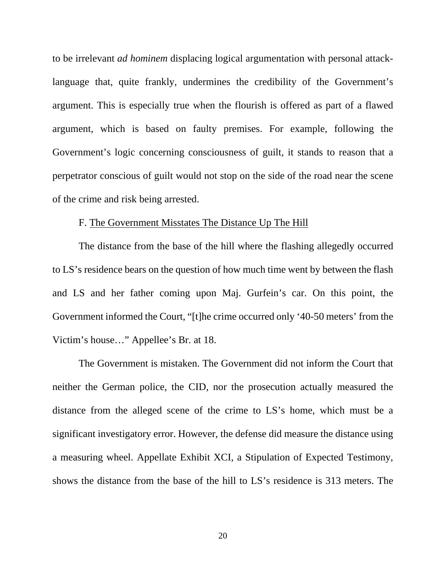to be irrelevant *ad hominem* displacing logical argumentation with personal attacklanguage that, quite frankly, undermines the credibility of the Government's argument. This is especially true when the flourish is offered as part of a flawed argument, which is based on faulty premises. For example, following the Government's logic concerning consciousness of guilt, it stands to reason that a perpetrator conscious of guilt would not stop on the side of the road near the scene of the crime and risk being arrested.

## F. The Government Misstates The Distance Up The Hill

The distance from the base of the hill where the flashing allegedly occurred to LS's residence bears on the question of how much time went by between the flash and LS and her father coming upon Maj. Gurfein's car. On this point, the Government informed the Court, "[t]he crime occurred only '40-50 meters' from the Victim's house…" Appellee's Br. at 18.

The Government is mistaken. The Government did not inform the Court that neither the German police, the CID, nor the prosecution actually measured the distance from the alleged scene of the crime to LS's home, which must be a significant investigatory error. However, the defense did measure the distance using a measuring wheel. Appellate Exhibit XCI, a Stipulation of Expected Testimony, shows the distance from the base of the hill to LS's residence is 313 meters. The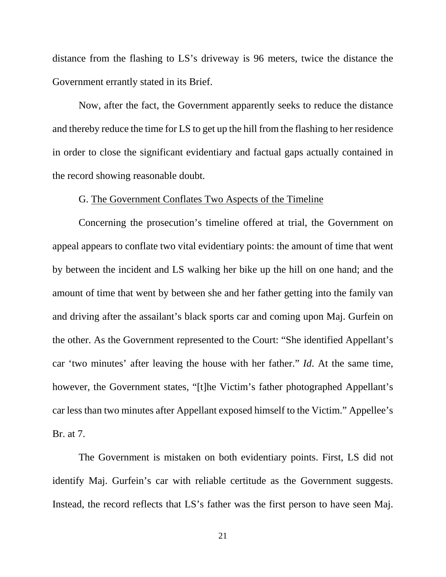distance from the flashing to LS's driveway is 96 meters, twice the distance the Government errantly stated in its Brief.

Now, after the fact, the Government apparently seeks to reduce the distance and thereby reduce the time for LS to get up the hill from the flashing to her residence in order to close the significant evidentiary and factual gaps actually contained in the record showing reasonable doubt.

#### G. The Government Conflates Two Aspects of the Timeline

Concerning the prosecution's timeline offered at trial, the Government on appeal appears to conflate two vital evidentiary points: the amount of time that went by between the incident and LS walking her bike up the hill on one hand; and the amount of time that went by between she and her father getting into the family van and driving after the assailant's black sports car and coming upon Maj. Gurfein on the other. As the Government represented to the Court: "She identified Appellant's car 'two minutes' after leaving the house with her father." *Id*. At the same time, however, the Government states, "[t]he Victim's father photographed Appellant's car less than two minutes after Appellant exposed himself to the Victim." Appellee's Br. at 7.

The Government is mistaken on both evidentiary points. First, LS did not identify Maj. Gurfein's car with reliable certitude as the Government suggests. Instead, the record reflects that LS's father was the first person to have seen Maj.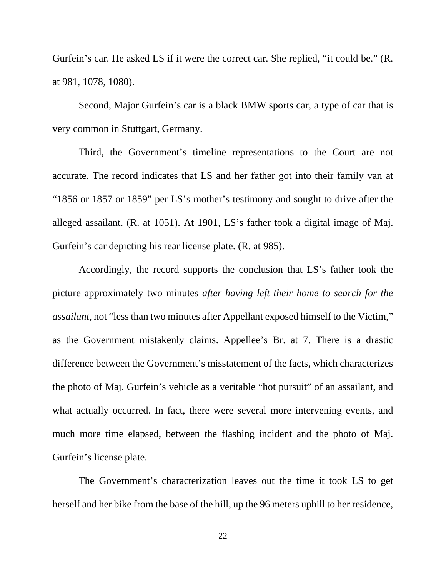Gurfein's car. He asked LS if it were the correct car. She replied, "it could be." (R. at 981, 1078, 1080).

Second, Major Gurfein's car is a black BMW sports car, a type of car that is very common in Stuttgart, Germany.

Third, the Government's timeline representations to the Court are not accurate. The record indicates that LS and her father got into their family van at "1856 or 1857 or 1859" per LS's mother's testimony and sought to drive after the alleged assailant. (R. at 1051). At 1901, LS's father took a digital image of Maj. Gurfein's car depicting his rear license plate. (R. at 985).

Accordingly, the record supports the conclusion that LS's father took the picture approximately two minutes *after having left their home to search for the assailant*, not "less than two minutes after Appellant exposed himself to the Victim," as the Government mistakenly claims. Appellee's Br. at 7. There is a drastic difference between the Government's misstatement of the facts, which characterizes the photo of Maj. Gurfein's vehicle as a veritable "hot pursuit" of an assailant, and what actually occurred. In fact, there were several more intervening events, and much more time elapsed, between the flashing incident and the photo of Maj. Gurfein's license plate.

The Government's characterization leaves out the time it took LS to get herself and her bike from the base of the hill, up the 96 meters uphill to her residence,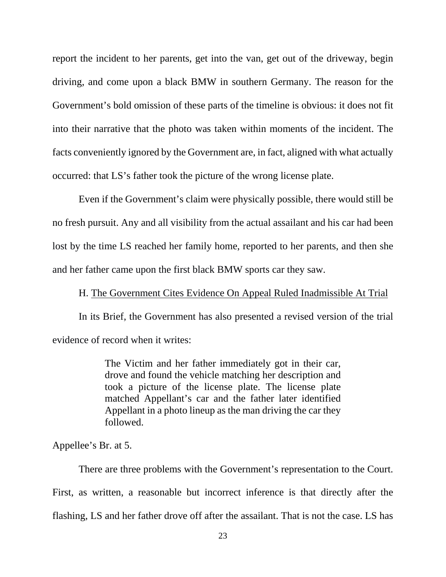report the incident to her parents, get into the van, get out of the driveway, begin driving, and come upon a black BMW in southern Germany. The reason for the Government's bold omission of these parts of the timeline is obvious: it does not fit into their narrative that the photo was taken within moments of the incident. The facts conveniently ignored by the Government are, in fact, aligned with what actually occurred: that LS's father took the picture of the wrong license plate.

Even if the Government's claim were physically possible, there would still be no fresh pursuit. Any and all visibility from the actual assailant and his car had been lost by the time LS reached her family home, reported to her parents, and then she and her father came upon the first black BMW sports car they saw.

#### H. The Government Cites Evidence On Appeal Ruled Inadmissible At Trial

In its Brief, the Government has also presented a revised version of the trial evidence of record when it writes:

> The Victim and her father immediately got in their car, drove and found the vehicle matching her description and took a picture of the license plate. The license plate matched Appellant's car and the father later identified Appellant in a photo lineup as the man driving the car they followed.

Appellee's Br. at 5.

There are three problems with the Government's representation to the Court. First, as written, a reasonable but incorrect inference is that directly after the flashing, LS and her father drove off after the assailant. That is not the case. LS has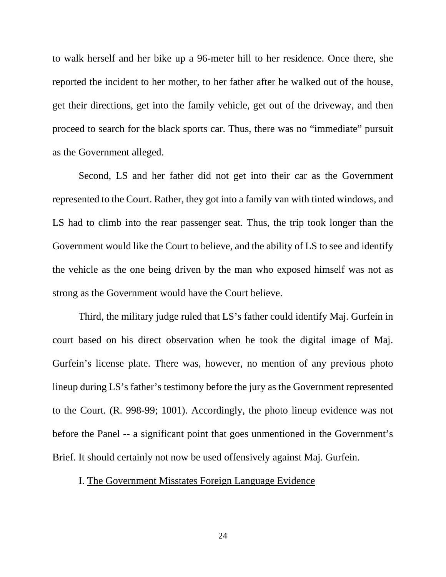to walk herself and her bike up a 96-meter hill to her residence. Once there, she reported the incident to her mother, to her father after he walked out of the house, get their directions, get into the family vehicle, get out of the driveway, and then proceed to search for the black sports car. Thus, there was no "immediate" pursuit as the Government alleged.

Second, LS and her father did not get into their car as the Government represented to the Court. Rather, they got into a family van with tinted windows, and LS had to climb into the rear passenger seat. Thus, the trip took longer than the Government would like the Court to believe, and the ability of LS to see and identify the vehicle as the one being driven by the man who exposed himself was not as strong as the Government would have the Court believe.

Third, the military judge ruled that LS's father could identify Maj. Gurfein in court based on his direct observation when he took the digital image of Maj. Gurfein's license plate. There was, however, no mention of any previous photo lineup during LS's father's testimony before the jury as the Government represented to the Court. (R. 998-99; 1001). Accordingly, the photo lineup evidence was not before the Panel -- a significant point that goes unmentioned in the Government's Brief. It should certainly not now be used offensively against Maj. Gurfein.

### I. The Government Misstates Foreign Language Evidence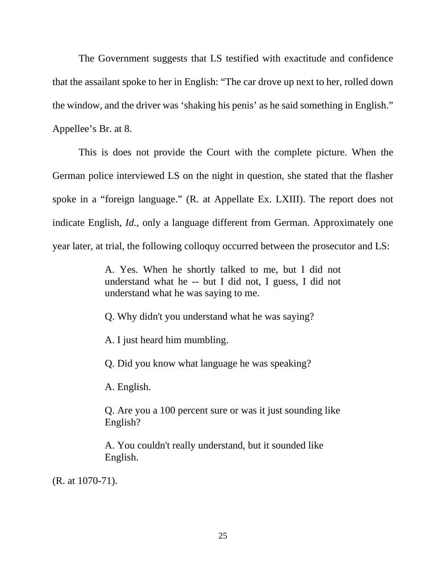The Government suggests that LS testified with exactitude and confidence that the assailant spoke to her in English: "The car drove up next to her, rolled down the window, and the driver was 'shaking his penis' as he said something in English." Appellee's Br. at 8.

This is does not provide the Court with the complete picture. When the German police interviewed LS on the night in question, she stated that the flasher spoke in a "foreign language." (R. at Appellate Ex. LXIII). The report does not indicate English, *Id.*, only a language different from German. Approximately one year later, at trial, the following colloquy occurred between the prosecutor and LS:

> A. Yes. When he shortly talked to me, but I did not understand what he -- but I did not, I guess, I did not understand what he was saying to me.

Q. Why didn't you understand what he was saying?

A. I just heard him mumbling.

Q. Did you know what language he was speaking?

A. English.

Q. Are you a 100 percent sure or was it just sounding like English?

A. You couldn't really understand, but it sounded like English.

(R. at 1070-71).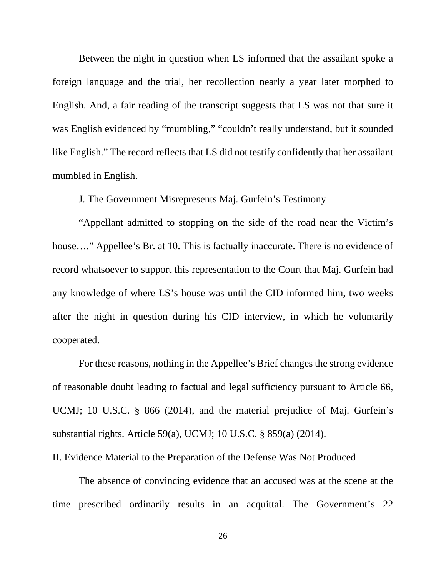Between the night in question when LS informed that the assailant spoke a foreign language and the trial, her recollection nearly a year later morphed to English. And, a fair reading of the transcript suggests that LS was not that sure it was English evidenced by "mumbling," "couldn't really understand, but it sounded like English." The record reflects that LS did not testify confidently that her assailant mumbled in English.

## J. The Government Misrepresents Maj. Gurfein's Testimony

"Appellant admitted to stopping on the side of the road near the Victim's house...." Appellee's Br. at 10. This is factually inaccurate. There is no evidence of record whatsoever to support this representation to the Court that Maj. Gurfein had any knowledge of where LS's house was until the CID informed him, two weeks after the night in question during his CID interview, in which he voluntarily cooperated.

For these reasons, nothing in the Appellee's Brief changes the strong evidence of reasonable doubt leading to factual and legal sufficiency pursuant to Article 66, UCMJ; 10 U.S.C. § 866 (2014), and the material prejudice of Maj. Gurfein's substantial rights. Article 59(a), UCMJ; 10 U.S.C. § 859(a) (2014).

#### II. Evidence Material to the Preparation of the Defense Was Not Produced

The absence of convincing evidence that an accused was at the scene at the time prescribed ordinarily results in an acquittal. The Government's 22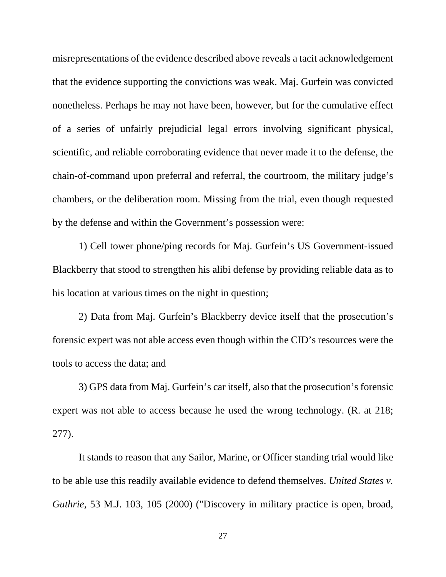misrepresentations of the evidence described above reveals a tacit acknowledgement that the evidence supporting the convictions was weak. Maj. Gurfein was convicted nonetheless. Perhaps he may not have been, however, but for the cumulative effect of a series of unfairly prejudicial legal errors involving significant physical, scientific, and reliable corroborating evidence that never made it to the defense, the chain-of-command upon preferral and referral, the courtroom, the military judge's chambers, or the deliberation room. Missing from the trial, even though requested by the defense and within the Government's possession were:

1) Cell tower phone/ping records for Maj. Gurfein's US Government-issued Blackberry that stood to strengthen his alibi defense by providing reliable data as to his location at various times on the night in question;

2) Data from Maj. Gurfein's Blackberry device itself that the prosecution's forensic expert was not able access even though within the CID's resources were the tools to access the data; and

3) GPS data from Maj. Gurfein's car itself, also that the prosecution's forensic expert was not able to access because he used the wrong technology. (R. at 218; 277).

It stands to reason that any Sailor, Marine, or Officer standing trial would like to be able use this readily available evidence to defend themselves. *United States v. Guthrie,* 53 M.J. 103, 105 (2000) ("Discovery in military practice is open, broad,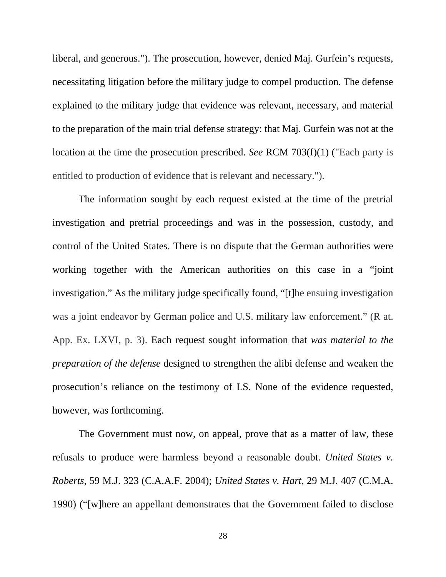liberal, and generous."). The prosecution, however, denied Maj. Gurfein's requests, necessitating litigation before the military judge to compel production. The defense explained to the military judge that evidence was relevant, necessary, and material to the preparation of the main trial defense strategy: that Maj. Gurfein was not at the location at the time the prosecution prescribed. *See* RCM 703(f)(1) ("Each party is entitled to production of evidence that is relevant and necessary.").

The information sought by each request existed at the time of the pretrial investigation and pretrial proceedings and was in the possession, custody, and control of the United States. There is no dispute that the German authorities were working together with the American authorities on this case in a "joint investigation." As the military judge specifically found, "[t]he ensuing investigation was a joint endeavor by German police and U.S. military law enforcement." (R at. App. Ex. LXVI, p. 3). Each request sought information that *was material to the preparation of the defense* designed to strengthen the alibi defense and weaken the prosecution's reliance on the testimony of LS. None of the evidence requested, however, was forthcoming.

The Government must now, on appeal, prove that as a matter of law, these refusals to produce were harmless beyond a reasonable doubt. *United States v. Roberts*, 59 M.J. 323 (C.A.A.F. 2004); *United States v. Hart*, 29 M.J. 407 (C.M.A. 1990) ("[w]here an appellant demonstrates that the Government failed to disclose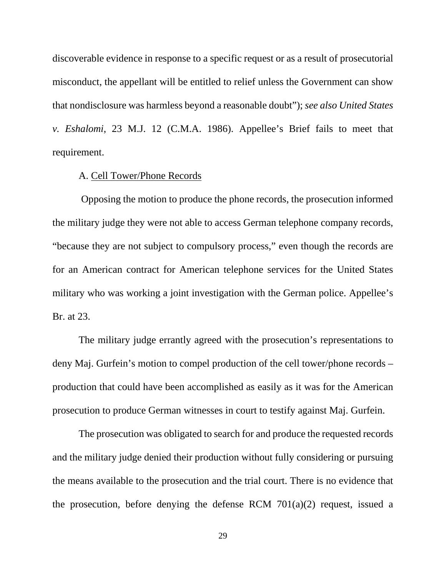discoverable evidence in response to a specific request or as a result of prosecutorial misconduct, the appellant will be entitled to relief unless the Government can show that nondisclosure was harmless beyond a reasonable doubt"); *see also United States v. Eshalomi*, 23 M.J. 12 (C.M.A. 1986). Appellee's Brief fails to meet that requirement.

#### A. Cell Tower/Phone Records

Opposing the motion to produce the phone records, the prosecution informed the military judge they were not able to access German telephone company records, "because they are not subject to compulsory process," even though the records are for an American contract for American telephone services for the United States military who was working a joint investigation with the German police. Appellee's Br. at 23.

The military judge errantly agreed with the prosecution's representations to deny Maj. Gurfein's motion to compel production of the cell tower/phone records – production that could have been accomplished as easily as it was for the American prosecution to produce German witnesses in court to testify against Maj. Gurfein.

The prosecution was obligated to search for and produce the requested records and the military judge denied their production without fully considering or pursuing the means available to the prosecution and the trial court. There is no evidence that the prosecution, before denying the defense RCM  $701(a)(2)$  request, issued a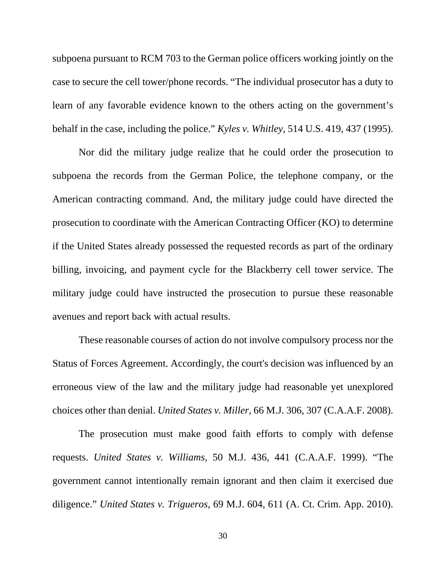subpoena pursuant to RCM 703 to the German police officers working jointly on the case to secure the cell tower/phone records. "The individual prosecutor has a duty to learn of any favorable evidence known to the others acting on the government's behalf in the case, including the police." *Kyles v. Whitley*, 514 U.S. 419, 437 (1995).

Nor did the military judge realize that he could order the prosecution to subpoena the records from the German Police, the telephone company, or the American contracting command. And, the military judge could have directed the prosecution to coordinate with the American Contracting Officer (KO) to determine if the United States already possessed the requested records as part of the ordinary billing, invoicing, and payment cycle for the Blackberry cell tower service. The military judge could have instructed the prosecution to pursue these reasonable avenues and report back with actual results.

These reasonable courses of action do not involve compulsory process nor the Status of Forces Agreement. Accordingly, the court's decision was influenced by an erroneous view of the law and the military judge had reasonable yet unexplored choices other than denial. *United States v. Miller,* 66 M.J. 306, 307 (C.A.A.F. 2008).

The prosecution must make good faith efforts to comply with defense requests. *United States v. Williams,* 50 M.J. 436, 441 (C.A.A.F. 1999). "The government cannot intentionally remain ignorant and then claim it exercised due diligence." *United States v. Trigueros*, 69 M.J. 604, 611 (A. Ct. Crim. App. 2010).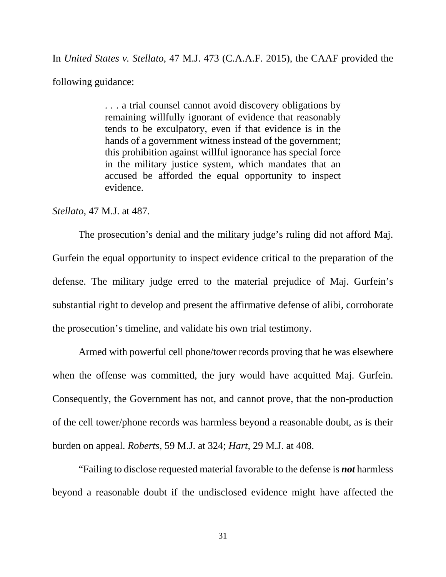In *United States v. Stellato*, 47 M.J. 473 (C.A.A.F. 2015), the CAAF provided the following guidance:

> . . . a trial counsel cannot avoid discovery obligations by remaining willfully ignorant of evidence that reasonably tends to be exculpatory, even if that evidence is in the hands of a government witness instead of the government; this prohibition against willful ignorance has special force in the military justice system, which mandates that an accused be afforded the equal opportunity to inspect evidence.

*Stellato*, 47 M.J. at 487.

The prosecution's denial and the military judge's ruling did not afford Maj. Gurfein the equal opportunity to inspect evidence critical to the preparation of the defense. The military judge erred to the material prejudice of Maj. Gurfein's substantial right to develop and present the affirmative defense of alibi, corroborate the prosecution's timeline, and validate his own trial testimony.

Armed with powerful cell phone/tower records proving that he was elsewhere when the offense was committed, the jury would have acquitted Maj. Gurfein. Consequently, the Government has not, and cannot prove, that the non-production of the cell tower/phone records was harmless beyond a reasonable doubt, as is their burden on appeal. *Roberts*, 59 M.J. at 324; *Hart*, 29 M.J. at 408.

"Failing to disclose requested material favorable to the defense is *not* harmless beyond a reasonable doubt if the undisclosed evidence might have affected the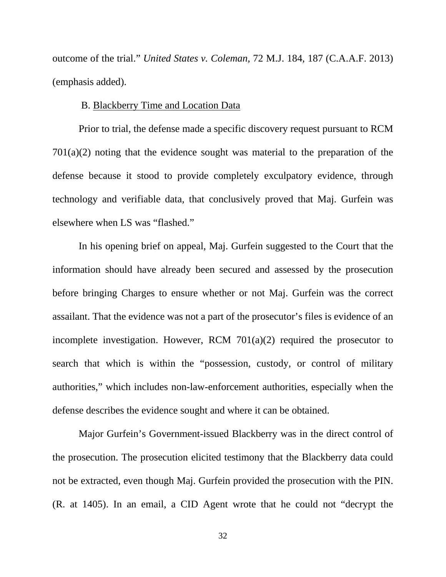outcome of the trial." *United States v. Coleman*, 72 M.J. 184, 187 (C.A.A.F. 2013) (emphasis added).

## B. Blackberry Time and Location Data

Prior to trial, the defense made a specific discovery request pursuant to RCM 701(a)(2) noting that the evidence sought was material to the preparation of the defense because it stood to provide completely exculpatory evidence, through technology and verifiable data, that conclusively proved that Maj. Gurfein was elsewhere when LS was "flashed."

In his opening brief on appeal, Maj. Gurfein suggested to the Court that the information should have already been secured and assessed by the prosecution before bringing Charges to ensure whether or not Maj. Gurfein was the correct assailant. That the evidence was not a part of the prosecutor's files is evidence of an incomplete investigation. However, RCM 701(a)(2) required the prosecutor to search that which is within the "possession, custody, or control of military authorities," which includes non-law-enforcement authorities, especially when the defense describes the evidence sought and where it can be obtained.

Major Gurfein's Government-issued Blackberry was in the direct control of the prosecution. The prosecution elicited testimony that the Blackberry data could not be extracted, even though Maj. Gurfein provided the prosecution with the PIN. (R. at 1405). In an email, a CID Agent wrote that he could not "decrypt the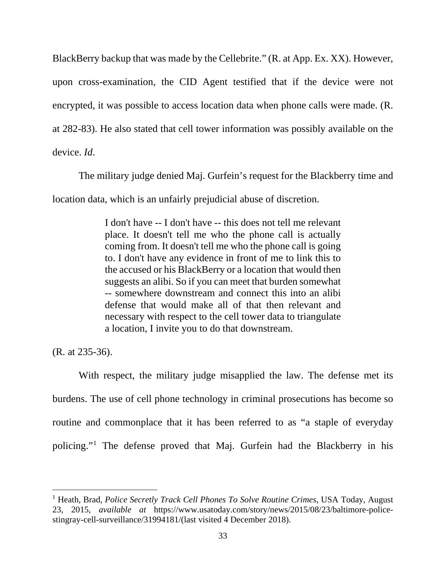BlackBerry backup that was made by the Cellebrite." (R. at App. Ex. XX). However, upon cross-examination, the CID Agent testified that if the device were not encrypted, it was possible to access location data when phone calls were made. (R. at 282-83). He also stated that cell tower information was possibly available on the device. *Id*.

The military judge denied Maj. Gurfein's request for the Blackberry time and location data, which is an unfairly prejudicial abuse of discretion.

> I don't have -- I don't have -- this does not tell me relevant place. It doesn't tell me who the phone call is actually coming from. It doesn't tell me who the phone call is going to. I don't have any evidence in front of me to link this to the accused or his BlackBerry or a location that would then suggests an alibi. So if you can meet that burden somewhat -- somewhere downstream and connect this into an alibi defense that would make all of that then relevant and necessary with respect to the cell tower data to triangulate a location, I invite you to do that downstream.

(R. at 235-36).

With respect, the military judge misapplied the law. The defense met its burdens. The use of cell phone technology in criminal prosecutions has become so routine and commonplace that it has been referred to as "a staple of everyday policing."[1](#page-35-0) The defense proved that Maj. Gurfein had the Blackberry in his

<span id="page-35-0"></span>t <sup>1</sup> Heath, Brad, *Police Secretly Track Cell Phones To Solve Routine Crimes*, USA Today, August 23, 2015, *available at* [https://www.usatoday.com/story/news/2015/08/23/baltimore-police](https://www.usatoday.com/story/news/2015/08/23/baltimore-police-stingray-cell-surveillance/31994181/(last)[stingray-cell-surveillance/31994181/\(last](https://www.usatoday.com/story/news/2015/08/23/baltimore-police-stingray-cell-surveillance/31994181/(last) visited 4 December 2018).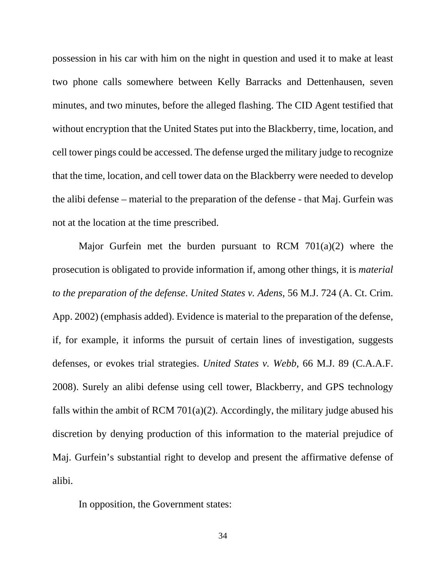possession in his car with him on the night in question and used it to make at least two phone calls somewhere between Kelly Barracks and Dettenhausen, seven minutes, and two minutes, before the alleged flashing. The CID Agent testified that without encryption that the United States put into the Blackberry, time, location, and cell tower pings could be accessed. The defense urged the military judge to recognize that the time, location, and cell tower data on the Blackberry were needed to develop the alibi defense – material to the preparation of the defense - that Maj. Gurfein was not at the location at the time prescribed.

Major Gurfein met the burden pursuant to RCM 701(a)(2) where the prosecution is obligated to provide information if, among other things, it is *material to the preparation of the defense*. *United States v. Adens*, 56 M.J. 724 (A. Ct. Crim. App. 2002) (emphasis added). Evidence is material to the preparation of the defense, if, for example, it informs the pursuit of certain lines of investigation, suggests defenses, or evokes trial strategies. *United States v. Webb*, 66 M.J. 89 (C.A.A.F. 2008). Surely an alibi defense using cell tower, Blackberry, and GPS technology falls within the ambit of RCM 701(a)(2). Accordingly, the military judge abused his discretion by denying production of this information to the material prejudice of Maj. Gurfein's substantial right to develop and present the affirmative defense of alibi.

In opposition, the Government states: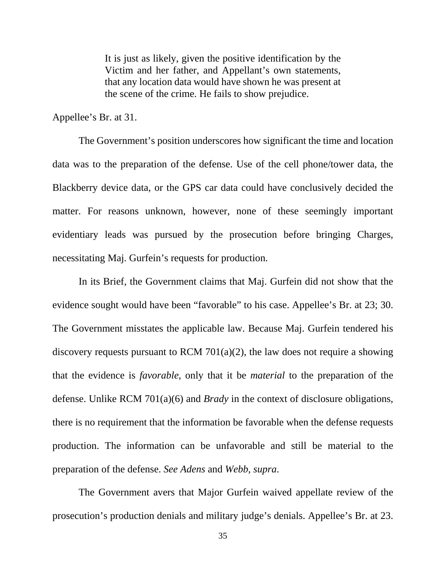It is just as likely, given the positive identification by the Victim and her father, and Appellant's own statements, that any location data would have shown he was present at the scene of the crime. He fails to show prejudice.

Appellee's Br. at 31.

The Government's position underscores how significant the time and location data was to the preparation of the defense. Use of the cell phone/tower data, the Blackberry device data, or the GPS car data could have conclusively decided the matter. For reasons unknown, however, none of these seemingly important evidentiary leads was pursued by the prosecution before bringing Charges, necessitating Maj. Gurfein's requests for production.

In its Brief, the Government claims that Maj. Gurfein did not show that the evidence sought would have been "favorable" to his case. Appellee's Br. at 23; 30. The Government misstates the applicable law. Because Maj. Gurfein tendered his discovery requests pursuant to RCM 701(a)(2), the law does not require a showing that the evidence is *favorable*, only that it be *material* to the preparation of the defense. Unlike RCM 701(a)(6) and *Brady* in the context of disclosure obligations, there is no requirement that the information be favorable when the defense requests production. The information can be unfavorable and still be material to the preparation of the defense. *See Adens* and *Webb*, *supra*.

The Government avers that Major Gurfein waived appellate review of the prosecution's production denials and military judge's denials. Appellee's Br. at 23.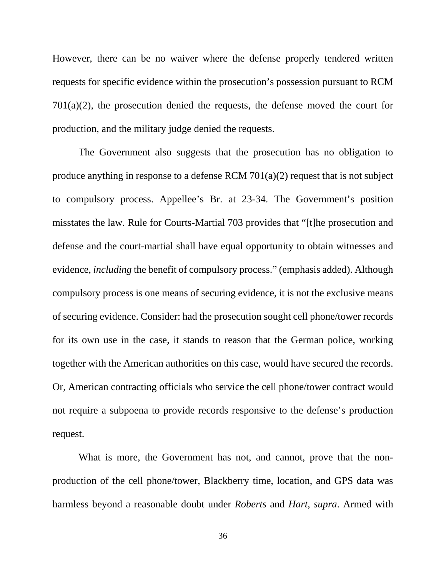However, there can be no waiver where the defense properly tendered written requests for specific evidence within the prosecution's possession pursuant to RCM 701(a)(2), the prosecution denied the requests, the defense moved the court for production, and the military judge denied the requests.

The Government also suggests that the prosecution has no obligation to produce anything in response to a defense RCM 701(a)(2) request that is not subject to compulsory process. Appellee's Br. at 23-34. The Government's position misstates the law. Rule for Courts-Martial 703 provides that "[t]he prosecution and defense and the court-martial shall have equal opportunity to obtain witnesses and evidence, *including* the benefit of compulsory process." (emphasis added). Although compulsory process is one means of securing evidence, it is not the exclusive means of securing evidence. Consider: had the prosecution sought cell phone/tower records for its own use in the case, it stands to reason that the German police, working together with the American authorities on this case, would have secured the records. Or, American contracting officials who service the cell phone/tower contract would not require a subpoena to provide records responsive to the defense's production request.

What is more, the Government has not, and cannot, prove that the nonproduction of the cell phone/tower, Blackberry time, location, and GPS data was harmless beyond a reasonable doubt under *Roberts* and *Hart*, *supra*. Armed with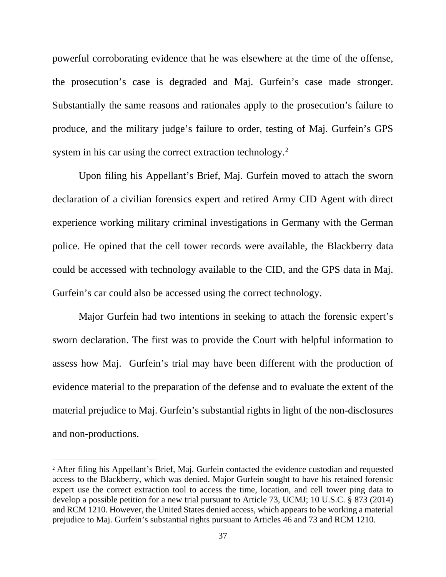powerful corroborating evidence that he was elsewhere at the time of the offense, the prosecution's case is degraded and Maj. Gurfein's case made stronger. Substantially the same reasons and rationales apply to the prosecution's failure to produce, and the military judge's failure to order, testing of Maj. Gurfein's GPS system in his car using the correct extraction technology.<sup>[2](#page-39-0)</sup>

Upon filing his Appellant's Brief, Maj. Gurfein moved to attach the sworn declaration of a civilian forensics expert and retired Army CID Agent with direct experience working military criminal investigations in Germany with the German police. He opined that the cell tower records were available, the Blackberry data could be accessed with technology available to the CID, and the GPS data in Maj. Gurfein's car could also be accessed using the correct technology.

Major Gurfein had two intentions in seeking to attach the forensic expert's sworn declaration. The first was to provide the Court with helpful information to assess how Maj. Gurfein's trial may have been different with the production of evidence material to the preparation of the defense and to evaluate the extent of the material prejudice to Maj. Gurfein's substantial rights in light of the non-disclosures and non-productions.

Ĩ.

<span id="page-39-0"></span><sup>2</sup> After filing his Appellant's Brief, Maj. Gurfein contacted the evidence custodian and requested access to the Blackberry, which was denied. Major Gurfein sought to have his retained forensic expert use the correct extraction tool to access the time, location, and cell tower ping data to develop a possible petition for a new trial pursuant to Article 73, UCMJ; 10 U.S.C. § 873 (2014) and RCM 1210. However, the United States denied access, which appears to be working a material prejudice to Maj. Gurfein's substantial rights pursuant to Articles 46 and 73 and RCM 1210.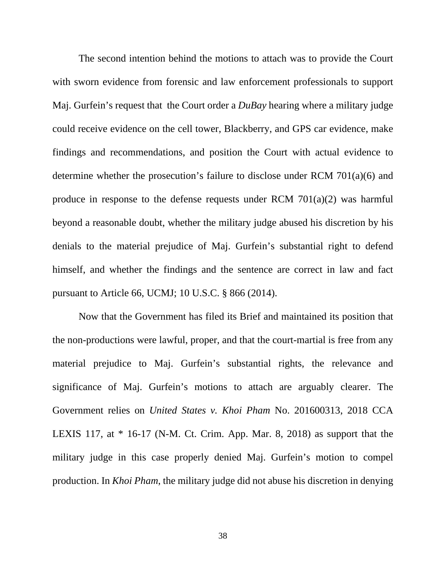The second intention behind the motions to attach was to provide the Court with sworn evidence from forensic and law enforcement professionals to support Maj. Gurfein's request that the Court order a *DuBay* hearing where a military judge could receive evidence on the cell tower, Blackberry, and GPS car evidence, make findings and recommendations, and position the Court with actual evidence to determine whether the prosecution's failure to disclose under RCM 701(a)(6) and produce in response to the defense requests under RCM 701(a)(2) was harmful beyond a reasonable doubt, whether the military judge abused his discretion by his denials to the material prejudice of Maj. Gurfein's substantial right to defend himself, and whether the findings and the sentence are correct in law and fact pursuant to Article 66, UCMJ; 10 U.S.C. § 866 (2014).

Now that the Government has filed its Brief and maintained its position that the non-productions were lawful, proper, and that the court-martial is free from any material prejudice to Maj. Gurfein's substantial rights, the relevance and significance of Maj. Gurfein's motions to attach are arguably clearer. The Government relies on *United States v. Khoi Pham* No. 201600313, 2018 CCA LEXIS 117, at  $*$  16-17 (N-M. Ct. Crim. App. Mar. 8, 2018) as support that the military judge in this case properly denied Maj. Gurfein's motion to compel production. In *Khoi Pham*, the military judge did not abuse his discretion in denying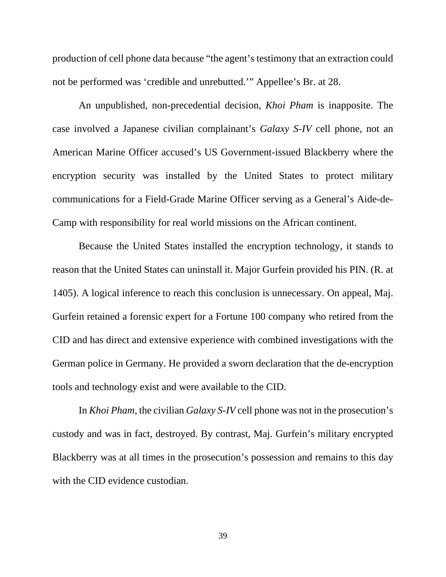production of cell phone data because "the agent's testimony that an extraction could not be performed was 'credible and unrebutted.'" Appellee's Br. at 28.

An unpublished, non-precedential decision, *Khoi Pham* is inapposite. The case involved a Japanese civilian complainant's *Galaxy S-IV* cell phone, not an American Marine Officer accused's US Government-issued Blackberry where the encryption security was installed by the United States to protect military communications for a Field-Grade Marine Officer serving as a General's Aide-de-Camp with responsibility for real world missions on the African continent.

Because the United States installed the encryption technology, it stands to reason that the United States can uninstall it. Major Gurfein provided his PIN. (R. at 1405). A logical inference to reach this conclusion is unnecessary. On appeal, Maj. Gurfein retained a forensic expert for a Fortune 100 company who retired from the CID and has direct and extensive experience with combined investigations with the German police in Germany. He provided a sworn declaration that the de-encryption tools and technology exist and were available to the CID.

In *Khoi Pham*, the civilian *Galaxy S-IV* cell phone was not in the prosecution's custody and was in fact, destroyed. By contrast, Maj. Gurfein's military encrypted Blackberry was at all times in the prosecution's possession and remains to this day with the CID evidence custodian.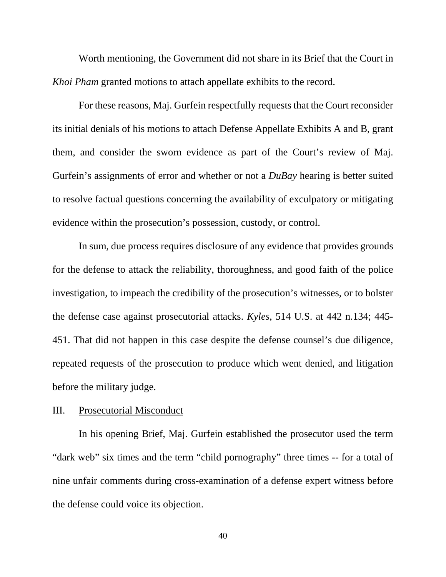Worth mentioning, the Government did not share in its Brief that the Court in *Khoi Pham* granted motions to attach appellate exhibits to the record.

For these reasons, Maj. Gurfein respectfully requests that the Court reconsider its initial denials of his motions to attach Defense Appellate Exhibits A and B, grant them, and consider the sworn evidence as part of the Court's review of Maj. Gurfein's assignments of error and whether or not a *DuBay* hearing is better suited to resolve factual questions concerning the availability of exculpatory or mitigating evidence within the prosecution's possession, custody, or control.

In sum, due process requires disclosure of any evidence that provides grounds for the defense to attack the reliability, thoroughness, and good faith of the police investigation, to impeach the credibility of the prosecution's witnesses, or to bolster the defense case against prosecutorial attacks. *Kyles*, 514 U.S. at 442 n.134; 445- 451. That did not happen in this case despite the defense counsel's due diligence, repeated requests of the prosecution to produce which went denied, and litigation before the military judge.

#### III. Prosecutorial Misconduct

In his opening Brief, Maj. Gurfein established the prosecutor used the term "dark web" six times and the term "child pornography" three times -- for a total of nine unfair comments during cross-examination of a defense expert witness before the defense could voice its objection.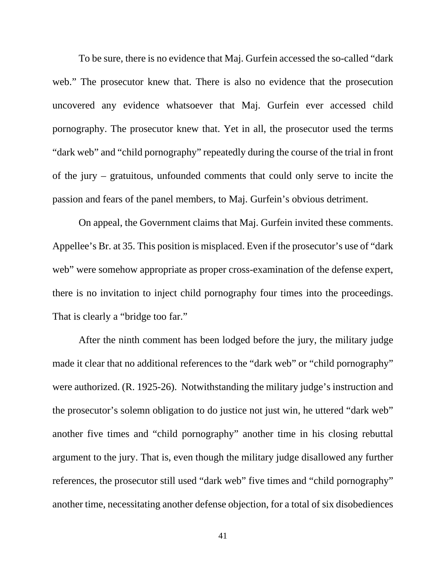To be sure, there is no evidence that Maj. Gurfein accessed the so-called "dark web." The prosecutor knew that. There is also no evidence that the prosecution uncovered any evidence whatsoever that Maj. Gurfein ever accessed child pornography. The prosecutor knew that. Yet in all, the prosecutor used the terms "dark web" and "child pornography" repeatedly during the course of the trial in front of the jury – gratuitous, unfounded comments that could only serve to incite the passion and fears of the panel members, to Maj. Gurfein's obvious detriment.

On appeal, the Government claims that Maj. Gurfein invited these comments. Appellee's Br. at 35. This position is misplaced. Even if the prosecutor's use of "dark web" were somehow appropriate as proper cross-examination of the defense expert, there is no invitation to inject child pornography four times into the proceedings. That is clearly a "bridge too far."

After the ninth comment has been lodged before the jury, the military judge made it clear that no additional references to the "dark web" or "child pornography" were authorized. (R. 1925-26). Notwithstanding the military judge's instruction and the prosecutor's solemn obligation to do justice not just win, he uttered "dark web" another five times and "child pornography" another time in his closing rebuttal argument to the jury. That is, even though the military judge disallowed any further references, the prosecutor still used "dark web" five times and "child pornography" another time, necessitating another defense objection, for a total of six disobediences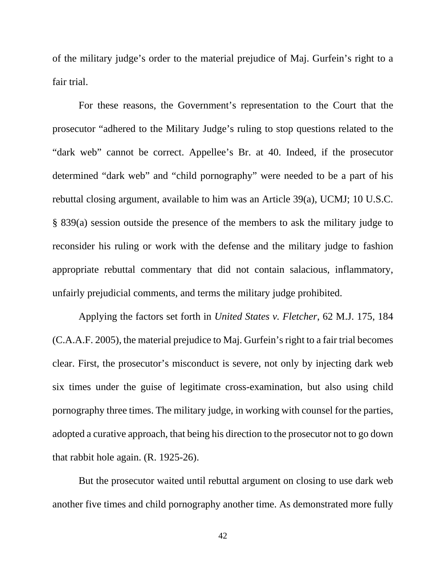of the military judge's order to the material prejudice of Maj. Gurfein's right to a fair trial.

For these reasons, the Government's representation to the Court that the prosecutor "adhered to the Military Judge's ruling to stop questions related to the "dark web" cannot be correct. Appellee's Br. at 40. Indeed, if the prosecutor determined "dark web" and "child pornography" were needed to be a part of his rebuttal closing argument, available to him was an Article 39(a), UCMJ; 10 U.S.C. § 839(a) session outside the presence of the members to ask the military judge to reconsider his ruling or work with the defense and the military judge to fashion appropriate rebuttal commentary that did not contain salacious, inflammatory, unfairly prejudicial comments, and terms the military judge prohibited.

Applying the factors set forth in *United States v. Fletcher*, 62 M.J. 175, 184 (C.A.A.F. 2005), the material prejudice to Maj. Gurfein's right to a fair trial becomes clear. First, the prosecutor's misconduct is severe, not only by injecting dark web six times under the guise of legitimate cross-examination, but also using child pornography three times. The military judge, in working with counsel for the parties, adopted a curative approach, that being his direction to the prosecutor not to go down that rabbit hole again. (R. 1925-26).

But the prosecutor waited until rebuttal argument on closing to use dark web another five times and child pornography another time. As demonstrated more fully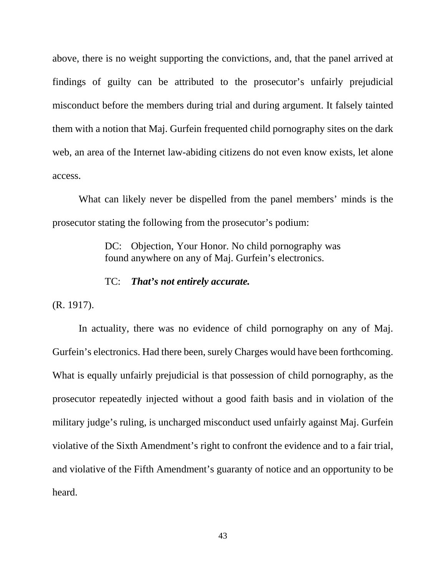above, there is no weight supporting the convictions, and, that the panel arrived at findings of guilty can be attributed to the prosecutor's unfairly prejudicial misconduct before the members during trial and during argument. It falsely tainted them with a notion that Maj. Gurfein frequented child pornography sites on the dark web, an area of the Internet law-abiding citizens do not even know exists, let alone access.

What can likely never be dispelled from the panel members' minds is the prosecutor stating the following from the prosecutor's podium:

> DC: Objection, Your Honor. No child pornography was found anywhere on any of Maj. Gurfein's electronics.

#### TC: *That's not entirely accurate.*

(R. 1917).

In actuality, there was no evidence of child pornography on any of Maj. Gurfein's electronics. Had there been, surely Charges would have been forthcoming. What is equally unfairly prejudicial is that possession of child pornography, as the prosecutor repeatedly injected without a good faith basis and in violation of the military judge's ruling, is uncharged misconduct used unfairly against Maj. Gurfein violative of the Sixth Amendment's right to confront the evidence and to a fair trial, and violative of the Fifth Amendment's guaranty of notice and an opportunity to be heard.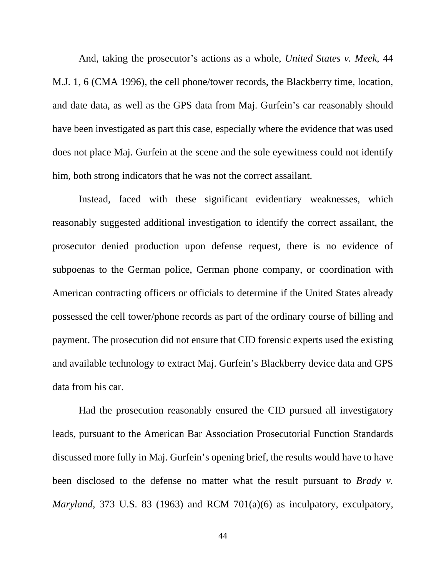And, taking the prosecutor's actions as a whole, *United States v. Meek*, 44 M.J. 1, 6 (CMA 1996), the cell phone/tower records, the Blackberry time, location, and date data, as well as the GPS data from Maj. Gurfein's car reasonably should have been investigated as part this case, especially where the evidence that was used does not place Maj. Gurfein at the scene and the sole eyewitness could not identify him, both strong indicators that he was not the correct assailant.

Instead, faced with these significant evidentiary weaknesses, which reasonably suggested additional investigation to identify the correct assailant, the prosecutor denied production upon defense request, there is no evidence of subpoenas to the German police, German phone company, or coordination with American contracting officers or officials to determine if the United States already possessed the cell tower/phone records as part of the ordinary course of billing and payment. The prosecution did not ensure that CID forensic experts used the existing and available technology to extract Maj. Gurfein's Blackberry device data and GPS data from his car.

Had the prosecution reasonably ensured the CID pursued all investigatory leads, pursuant to the American Bar Association Prosecutorial Function Standards discussed more fully in Maj. Gurfein's opening brief, the results would have to have been disclosed to the defense no matter what the result pursuant to *Brady v. Maryland*, 373 U.S. 83 (1963) and RCM 701(a)(6) as inculpatory, exculpatory,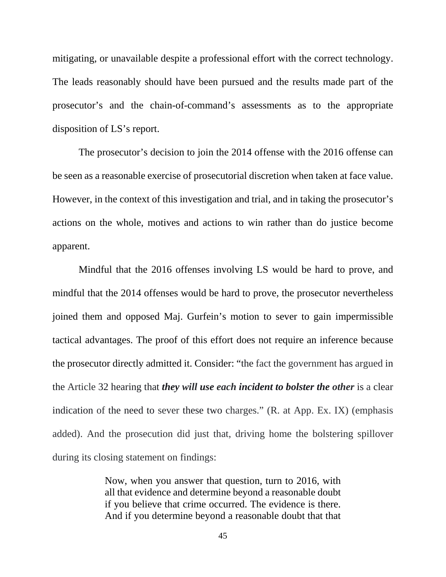mitigating, or unavailable despite a professional effort with the correct technology. The leads reasonably should have been pursued and the results made part of the prosecutor's and the chain-of-command's assessments as to the appropriate disposition of LS's report.

The prosecutor's decision to join the 2014 offense with the 2016 offense can be seen as a reasonable exercise of prosecutorial discretion when taken at face value. However, in the context of this investigation and trial, and in taking the prosecutor's actions on the whole, motives and actions to win rather than do justice become apparent.

Mindful that the 2016 offenses involving LS would be hard to prove, and mindful that the 2014 offenses would be hard to prove, the prosecutor nevertheless joined them and opposed Maj. Gurfein's motion to sever to gain impermissible tactical advantages. The proof of this effort does not require an inference because the prosecutor directly admitted it. Consider: "the fact the government has argued in the Article 32 hearing that *they will use each incident to bolster the other* is a clear indication of the need to sever these two charges." (R. at App. Ex. IX) (emphasis added). And the prosecution did just that, driving home the bolstering spillover during its closing statement on findings:

> Now, when you answer that question, turn to 2016, with all that evidence and determine beyond a reasonable doubt if you believe that crime occurred. The evidence is there. And if you determine beyond a reasonable doubt that that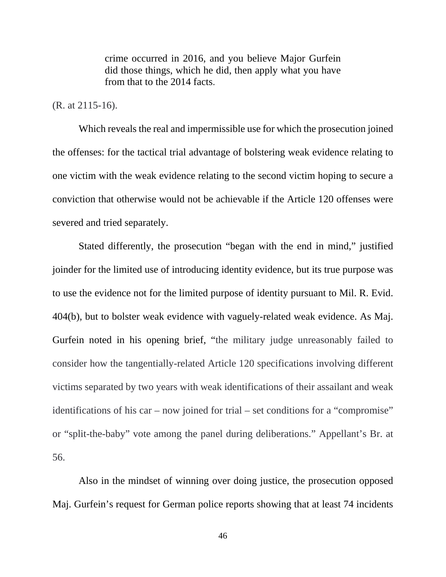crime occurred in 2016, and you believe Major Gurfein did those things, which he did, then apply what you have from that to the 2014 facts.

#### (R. at 2115-16).

Which reveals the real and impermissible use for which the prosecution joined the offenses: for the tactical trial advantage of bolstering weak evidence relating to one victim with the weak evidence relating to the second victim hoping to secure a conviction that otherwise would not be achievable if the Article 120 offenses were severed and tried separately.

Stated differently, the prosecution "began with the end in mind," justified joinder for the limited use of introducing identity evidence, but its true purpose was to use the evidence not for the limited purpose of identity pursuant to Mil. R. Evid. 404(b), but to bolster weak evidence with vaguely-related weak evidence. As Maj. Gurfein noted in his opening brief, "the military judge unreasonably failed to consider how the tangentially-related Article 120 specifications involving different victims separated by two years with weak identifications of their assailant and weak identifications of his car – now joined for trial – set conditions for a "compromise" or "split-the-baby" vote among the panel during deliberations." Appellant's Br. at 56.

Also in the mindset of winning over doing justice, the prosecution opposed Maj. Gurfein's request for German police reports showing that at least 74 incidents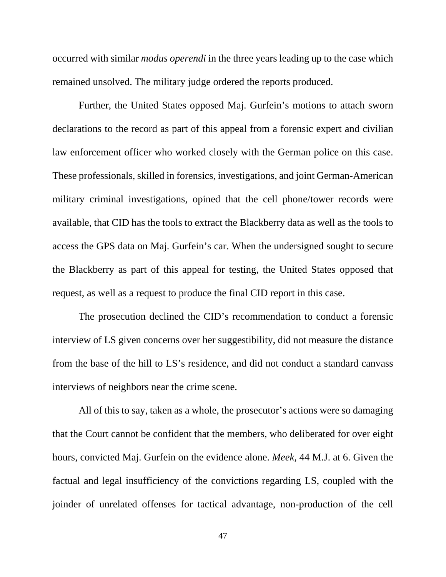occurred with similar *modus operendi* in the three years leading up to the case which remained unsolved. The military judge ordered the reports produced.

Further, the United States opposed Maj. Gurfein's motions to attach sworn declarations to the record as part of this appeal from a forensic expert and civilian law enforcement officer who worked closely with the German police on this case. These professionals, skilled in forensics, investigations, and joint German-American military criminal investigations, opined that the cell phone/tower records were available, that CID has the tools to extract the Blackberry data as well as the tools to access the GPS data on Maj. Gurfein's car. When the undersigned sought to secure the Blackberry as part of this appeal for testing, the United States opposed that request, as well as a request to produce the final CID report in this case.

The prosecution declined the CID's recommendation to conduct a forensic interview of LS given concerns over her suggestibility, did not measure the distance from the base of the hill to LS's residence, and did not conduct a standard canvass interviews of neighbors near the crime scene.

All of this to say, taken as a whole, the prosecutor's actions were so damaging that the Court cannot be confident that the members, who deliberated for over eight hours, convicted Maj. Gurfein on the evidence alone. *Meek*, 44 M.J. at 6. Given the factual and legal insufficiency of the convictions regarding LS, coupled with the joinder of unrelated offenses for tactical advantage, non-production of the cell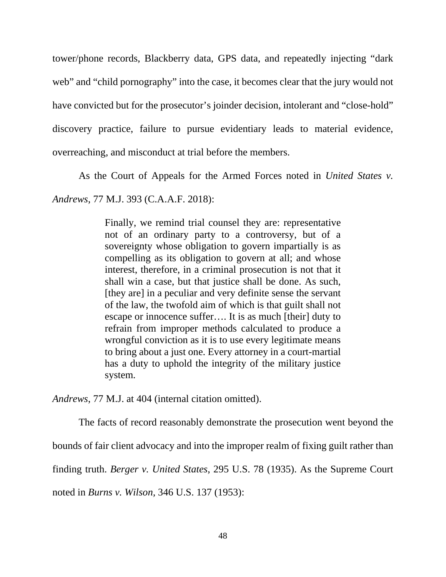tower/phone records, Blackberry data, GPS data, and repeatedly injecting "dark web" and "child pornography" into the case, it becomes clear that the jury would not have convicted but for the prosecutor's joinder decision, intolerant and "close-hold" discovery practice, failure to pursue evidentiary leads to material evidence, overreaching, and misconduct at trial before the members.

As the Court of Appeals for the Armed Forces noted in *United States v.* 

*Andrews*, 77 M.J. 393 (C.A.A.F. 2018):

Finally, we remind trial counsel they are: representative not of an ordinary party to a controversy, but of a sovereignty whose obligation to govern impartially is as compelling as its obligation to govern at all; and whose interest, therefore, in a criminal prosecution is not that it shall win a case, but that justice shall be done. As such, [they are] in a peculiar and very definite sense the servant of the law, the twofold aim of which is that guilt shall not escape or innocence suffer…. It is as much [their] duty to refrain from improper methods calculated to produce a wrongful conviction as it is to use every legitimate means to bring about a just one. Every attorney in a court-martial has a duty to uphold the integrity of the military justice system.

*Andrews*, 77 M.J. at 404 (internal citation omitted).

The facts of record reasonably demonstrate the prosecution went beyond the

bounds of fair client advocacy and into the improper realm of fixing guilt rather than

finding truth. *Berger v. United States*, 295 U.S. 78 (1935). As the Supreme Court

noted in *Burns v. Wilson,* 346 U.S. 137 (1953):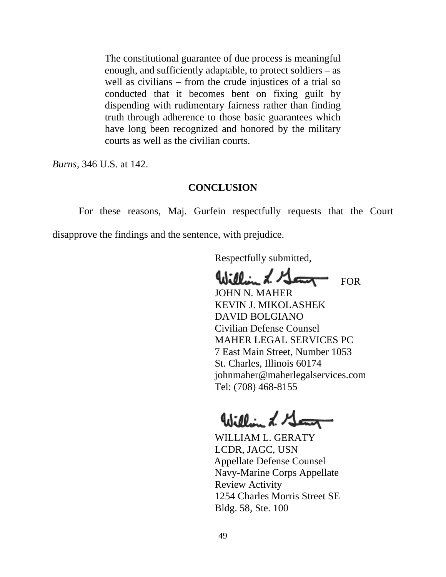The constitutional guarantee of due process is meaningful enough, and sufficiently adaptable, to protect soldiers – as well as civilians – from the crude injustices of a trial so conducted that it becomes bent on fixing guilt by dispending with rudimentary fairness rather than finding truth through adherence to those basic guarantees which have long been recognized and honored by the military courts as well as the civilian courts.

*Burns*, 346 U.S. at 142.

#### **CONCLUSION**

For these reasons, Maj. Gurfein respectfully requests that the Court disapprove the findings and the sentence, with prejudice.

Respectfully submitted,

William L. Gam FOR

 JOHN N. MAHER KEVIN J. MIKOLASHEK DAVID BOLGIANO Civilian Defense Counsel MAHER LEGAL SERVICES PC 7 East Main Street, Number 1053 St. Charles, Illinois 60174 [johnmaher@maherlegalservices.com](mailto:johnmaher@maherlegalservices.com) Tel: (708) 468-8155

William L. Georg

 WILLIAM L. GERATY LCDR, JAGC, USN Appellate Defense Counsel Navy-Marine Corps Appellate Review Activity 1254 Charles Morris Street SE Bldg. 58, Ste. 100